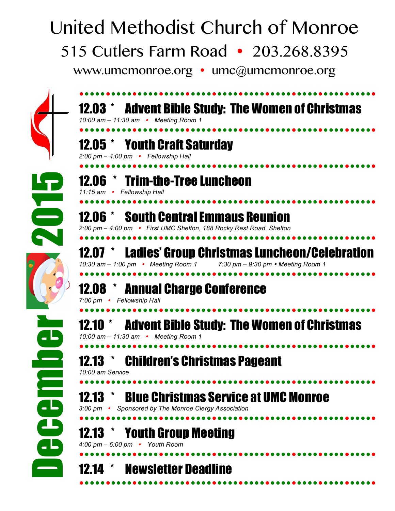## United Methodist Church of Monroe 515 Cutlers Farm Road • 203.268.8395 www.umcmonroe.org • umc@umcmonroe.org



| 10:00 am - 11:30 am • Meeting Room 1                                                                               | <b>12.03 * Advent Bible Study: The Women of Christmas</b> |
|--------------------------------------------------------------------------------------------------------------------|-----------------------------------------------------------|
| 12.05 * Youth Craft Saturday<br>2:00 pm - 4:00 pm • Fellowship Hall                                                |                                                           |
| 12.06 * Trim-the-Tree Luncheon<br>11:15 am • Fellowship Hall                                                       |                                                           |
| <b>12.06 * South Central Emmaus Reunion</b><br>2:00 pm - 4:00 pm • First UMC Shelton, 188 Rocky Rest Road, Shelton |                                                           |
| 12.07 *<br>10:30 am - 1:00 pm • Meeting Room 1 7:30 pm - 9:30 pm • Meeting Room 1                                  | <b>Ladies' Group Christmas Luncheon/Celebration</b>       |
| <b>12.08 * Annual Charge Conference</b><br>7:00 pm • Fellowship Hall                                               |                                                           |
| 10:00 am - 11:30 am • Meeting Room 1                                                                               | <b>12.10 * Advent Bible Study: The Women of Christmas</b> |
| <b>Children's Christmas Pageant</b><br>10:00 am Service                                                            |                                                           |
| <b>12.13</b> $*$<br>Sponsored by The Monroe Clergy Association<br>3:00 pm   •                                      | <b>Blue Christmas Service at UMC Monroe</b>               |
| 12.13 * Youth Group Meeting<br>4:00 pm $-$ 6:00 pm $\cdot$ Youth Room                                              |                                                           |
| <b>Newsletter Deadline</b><br>12.14                                                                                |                                                           |